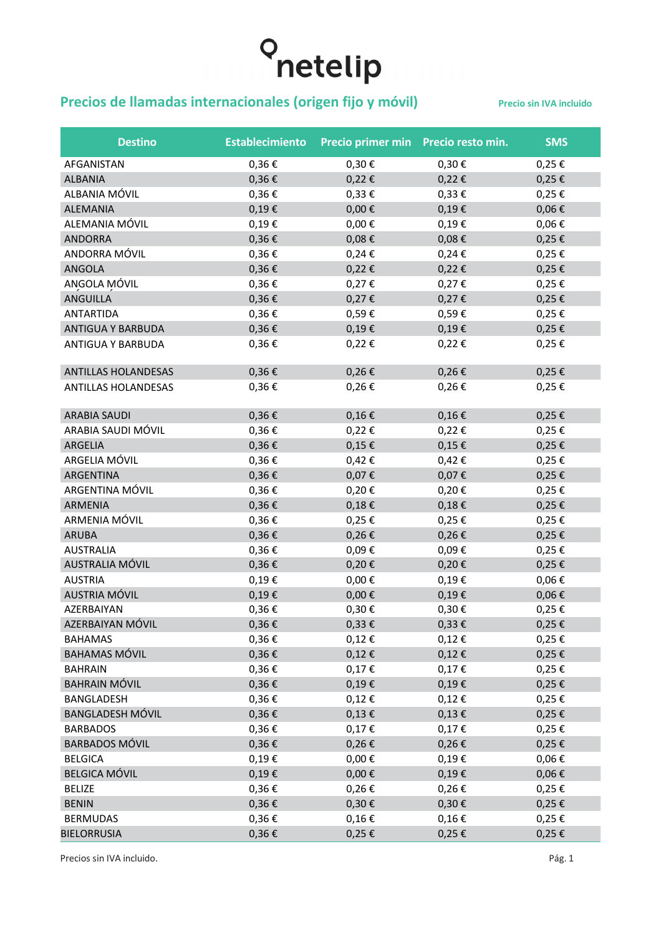#### **Precios de llamadas internacionales (origen fijo y móvil)** Precio sin IVA incluido

| <b>Destino</b>             | <b>Establecimiento</b> | Precio primer min Precio resto min. |               | <b>SMS</b> |
|----------------------------|------------------------|-------------------------------------|---------------|------------|
| AFGANISTAN                 | 0,36€                  | $0,30 \in$                          | $0,30 \in$    | $0,25 \in$ |
| <b>ALBANIA</b>             | $0,36 \in$             | $0,22 \in$                          | $0,22 \in$    | $0,25 \in$ |
| ALBANIA MÓVIL              | 0,36€                  | $0,33 \in$                          | $0,33 \in$    | $0,25 \in$ |
| ALEMANIA                   | $0,19 \in$             | $0,00 \in$                          | $0,19 \in$    | $0,06 \in$ |
| ALEMANIA MÓVIL             | 0,19€                  | $0,00 \in$                          | 0,19€         | $0,06 \in$ |
| <b>ANDORRA</b>             | $0,36 \in$             | $0,08 \in$                          | $0,08 \in$    | $0,25 \in$ |
| ANDORRA MÓVIL              | 0,36€                  | $0,24 \in$                          | $0,24 \in$    | $0,25 \in$ |
| <b>ANGOLA</b>              | $0,36 \in$             | $0,22 \in$                          | $0,22 \in$    | $0,25 \in$ |
| ANGOLA MÓVIL               | 0,36€                  | $0,27 \in$                          | $0,27 \in$    | $0,25 \in$ |
| <b>ANGUILLA</b>            | $0,36 \in$             | $0,27 \in$                          | $0,27 \in$    | $0,25 \in$ |
| ANTARTIDA                  | $0,36 \in$             | 0,59€                               | 0,59€         | $0,25 \in$ |
| ANTIGUA Y BARBUDA          | $0,36 \in$             | $0,19 \in$                          | $0,19 \in$    | $0,25 \in$ |
| ANTIGUA Y BARBUDA          | $0,36 \in$             | $0,22 \in$                          | $0,22 \in$    | $0,25 \in$ |
| ANTILLAS HOLANDESAS        | $0,36 \in$             | $0,26 \in$                          | $0,26 \in$    | $0,25 \in$ |
| <b>ANTILLAS HOLANDESAS</b> | 0,36€                  | 0,26€                               | 0,26€         | 0,25€      |
| <b>ARABIA SAUDI</b>        | $0,36 \in$             | $0,16 \in$                          | $0,16 \in$    | $0,25 \in$ |
| ARABIA SAUDI MÓVIL         | 0,36€                  | $0,22 \in$                          | 0,22€         | $0,25 \in$ |
| ARGELIA                    | $0,36 \in$             | $0,15 \in$                          | $0,15 \in$    | $0,25 \in$ |
| ARGELIA MÓVIL              | 0,36€                  | $0,42 \in$                          | $0,42 \in$    | $0,25 \in$ |
| ARGENTINA                  | $0,36 \in$             | 0,07€                               | 0,07€         | $0,25 \in$ |
| ARGENTINA MÓVIL            | $0,36 \in$             | 0,20€                               | 0,20€         | $0,25 \in$ |
| <b>ARMENIA</b>             | $0,36 \in$             | $0,18 \in$                          | $0,18 \in$    | $0,25 \in$ |
| ARMENIA MÓVIL              | $0,36 \in$             | 0,25€                               | 0,25€         | $0,25 \in$ |
| <b>ARUBA</b>               | $0,36 \in$             | $0,26 \in$                          | $0,26 \in$    | $0,25 \in$ |
| <b>AUSTRALIA</b>           | $0,36 \in$             | 0,09€                               | 0,09€         | $0,25 \in$ |
| AUSTRALIA MÓVIL            | $0,36 \in$             | $0,20 \in$                          | $0,20 \in$    | $0,25 \in$ |
| <b>AUSTRIA</b>             | 0,19€                  | $0,00 \in$                          | 0,19€         | $0,06 \in$ |
| <b>AUSTRIA MÓVIL</b>       | $0,19 \in$             | $0,00 \in$                          | $0,19 \in$    | $0,06 \in$ |
| AZERBAIYAN                 | 0,36€                  | 0,30€                               | $0,30 \in$    | 0,25€      |
| AZERBAIYAN MÓVIL           | $0,36 \in$             | $0,33 \in$                          | $0,33 \notin$ | $0,25 \in$ |
| <b>BAHAMAS</b>             | $0,36 \in$             | $0,12 \in$                          | $0,12 \in$    | $0,25 \in$ |
| <b>BAHAMAS MÓVIL</b>       | $0,36 \in$             | $0,12 \in$                          | $0,12 \in$    | $0,25 \in$ |
| <b>BAHRAIN</b>             | $0,36 \in$             | $0,17 \in$                          | $0,17 \in$    | $0,25 \in$ |
| <b>BAHRAIN MÓVIL</b>       | $0,36 \in$             | $0,19 \in$                          | $0,19 \in$    | $0,25 \in$ |
| BANGLADESH                 | $0,36 \in$             | $0,12 \in$                          | $0,12 \in$    | $0,25 \in$ |
| <b>BANGLADESH MÓVIL</b>    | $0,36 \in$             | $0,13 \in$                          | $0,13 \in$    | $0,25 \in$ |
| <b>BARBADOS</b>            | $0,36 \in$             | $0,17 \in$                          | $0,17 \in$    | $0,25 \in$ |
| <b>BARBADOS MÓVIL</b>      | $0,36 \in$             | $0,26 \in$                          | $0,26 \in$    | $0,25 \in$ |
| <b>BELGICA</b>             | $0,19 \in$             | $0,00 \in$                          | $0,19 \in$    | $0,06 \in$ |
| <b>BELGICA MÓVIL</b>       | $0,19 \in$             | $0,00 \in$                          | $0,19 \in$    | $0,06 \in$ |
| <b>BELIZE</b>              | $0,36 \in$             | $0,26 \in$                          | $0,26 \in$    | $0,25 \in$ |
| <b>BENIN</b>               | $0,36 \in$             | $0,30 \in$                          | $0,30 \in$    | $0,25 \in$ |
| <b>BERMUDAS</b>            | $0,36 \in$             | $0,16 \in$                          | $0,16 \in$    | $0,25 \in$ |
| <b>BIELORRUSIA</b>         | 0,36€                  | 0,25€                               | $0,25 \in$    | $0,25 \in$ |

Precios sin IVA incluido. Pág. 1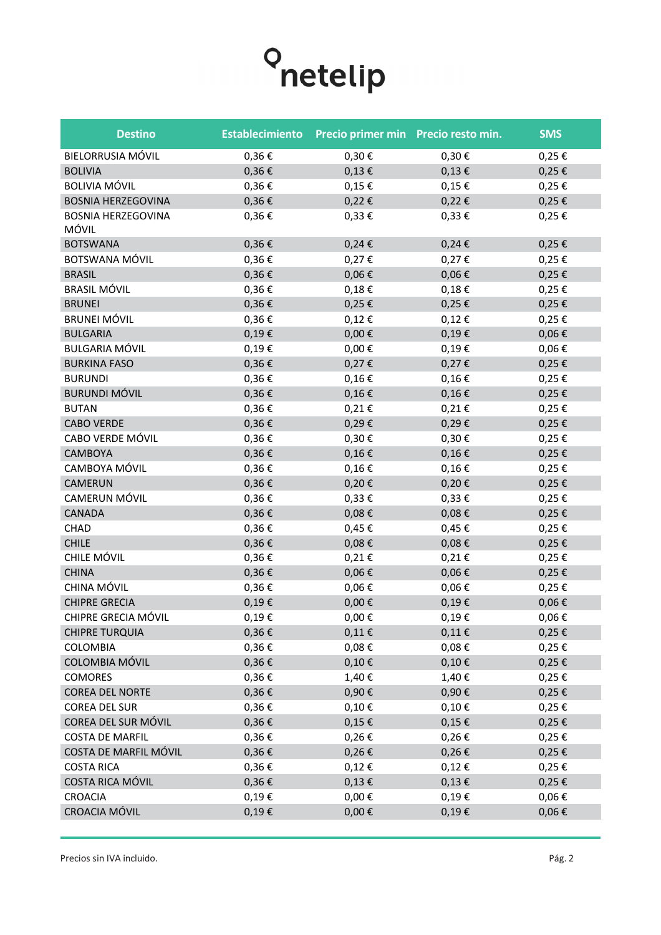

| <b>Destino</b>                     | <b>Establecimiento</b> | Precio primer min Precio resto min. |            | <b>SMS</b> |
|------------------------------------|------------------------|-------------------------------------|------------|------------|
| BIELORRUSIA MÓVIL                  | 0,36€                  | $0,30 \in$                          | 0,30€      | $0,25 \in$ |
| <b>BOLIVIA</b>                     | 0,36€                  | $0,13 \in$                          | $0,13 \in$ | $0,25 \in$ |
| <b>BOLIVIA MÓVIL</b>               | 0,36€                  | $0,15 \in$                          | $0,15 \in$ | $0,25 \in$ |
| <b>BOSNIA HERZEGOVINA</b>          | $0,36 \in$             | $0,22 \in$                          | $0,22 \in$ | $0,25 \in$ |
| <b>BOSNIA HERZEGOVINA</b><br>MÓVIL | 0,36€                  | $0,33 \in$                          | $0,33 \in$ | $0,25 \in$ |
| <b>BOTSWANA</b>                    | 0,36€                  | $0,24 \in$                          | $0,24 \in$ | $0,25 \in$ |
| BOTSWANA MÓVIL                     | 0,36€                  | 0,27€                               | $0,27 \in$ | $0,25 \in$ |
| <b>BRASIL</b>                      | $0,36 \in$             | $0,06 \in$                          | $0,06 \in$ | $0,25 \in$ |
| <b>BRASIL MÓVIL</b>                | 0,36€                  | $0,18 \in$                          | $0,18 \in$ | $0,25 \in$ |
| <b>BRUNEI</b>                      | 0,36€                  | 0,25€                               | 0,25€      | $0,25 \in$ |
| <b>BRUNEI MÓVIL</b>                | 0,36€                  | $0,12 \in$                          | $0,12 \in$ | $0,25 \in$ |
| <b>BULGARIA</b>                    | 0,19€                  | $0,00 \in$                          | $0,19 \in$ | $0,06 \in$ |
| <b>BULGARIA MÓVIL</b>              | 0,19€                  | $0,00 \in$                          | $0,19 \in$ | $0,06 \in$ |
| <b>BURKINA FASO</b>                | 0,36€                  | $0,27 \in$                          | 0,27€      | $0,25 \in$ |
| <b>BURUNDI</b>                     | 0,36€                  | $0,16 \in$                          | $0,16 \in$ | 0,25€      |
| <b>BURUNDI MÓVIL</b>               | $0,36 \in$             | $0,16 \in$                          | $0,16 \in$ | $0,25 \in$ |
| <b>BUTAN</b>                       | 0,36€                  | $0,21 \in$                          | $0,21 \in$ | 0,25€      |
| <b>CABO VERDE</b>                  | 0,36€                  | 0,29€                               | 0,29€      | $0,25 \in$ |
| CABO VERDE MÓVIL                   | 0,36€                  | $0,30 \in$                          | 0,30€      | 0,25€      |
| <b>CAMBOYA</b>                     | $0,36 \in$             | $0,16 \in$                          | $0,16 \in$ | 0,25€      |
| CAMBOYA MÓVIL                      | 0,36€                  | $0,16 \in$                          | $0,16 \in$ | 0,25€      |
| CAMERUN                            | $0,36 \in$             | $0,20 \in$                          | $0,20 \in$ | $0,25 \in$ |
| CAMERUN MÓVIL                      | 0,36€                  | $0,33 \in$                          | $0,33 \in$ | 0,25€      |
| <b>CANADA</b>                      | $0,36 \in$             | $0,08 \in$                          | $0,08 \in$ | $0,25 \in$ |
| CHAD                               | 0,36€                  | 0,45€                               | 0,45€      | 0,25€      |
| <b>CHILE</b>                       | $0,36 \in$             | $0,08 \in$                          | $0,08 \in$ | $0,25 \in$ |
| CHILE MÓVIL                        | 0,36€                  | $0,21 \in$                          | $0,21 \in$ | $0,25 \in$ |
| <b>CHINA</b>                       | $0,36 \in$             | $0,06 \in$                          | $0,06 \in$ | $0,25 \in$ |
| CHINA MÓVIL                        | 0,36€                  | $0,06 \in$                          | $0,06 \in$ | 0,25€      |
| <b>CHIPRE GRECIA</b>               | $0,19 \in$             | $0,00 \in$                          | $0,19 \in$ | $0,06 \in$ |
| CHIPRE GRECIA MÓVIL                | $0,19 \in$             | $0,00 \in$                          | 0,19€      | $0,06 \in$ |
| <b>CHIPRE TURQUIA</b>              | $0,36 \in$             | 0,11€                               | $0,11 \in$ | $0,25 \in$ |
| COLOMBIA                           | $0,36 \in$             | $0,08 \in$                          | $0,08 \in$ | $0,25 \in$ |
| COLOMBIA MÓVIL                     | $0,36 \in$             | 0,10€                               | 0,10€      | $0,25 \in$ |
| <b>COMORES</b>                     | $0,36 \in$             | 1,40€                               | 1,40€      | $0,25 \in$ |
| <b>COREA DEL NORTE</b>             | $0,36 \in$             | 0,90€                               | 0,90€      | $0,25 \in$ |
| <b>COREA DEL SUR</b>               | $0,36 \in$             | $0,10 \in$                          | $0,10 \in$ | $0,25 \in$ |
| COREA DEL SUR MÓVIL                | $0,36 \in$             | $0,15 \in$                          | $0,15 \in$ | $0,25 \in$ |
| <b>COSTA DE MARFIL</b>             | $0,36 \in$             | $0,26 \in$                          | $0,26 \in$ | $0,25 \in$ |
| COSTA DE MARFIL MÓVIL              | $0,36 \in$             | $0,26 \in$                          | $0,26 \in$ | $0,25 \in$ |
| <b>COSTA RICA</b>                  | $0,36 \in$             | $0,12 \in$                          | $0,12 \in$ | $0,25 \in$ |
| COSTA RICA MÓVIL                   | $0,36 \in$             | $0,13 \in$                          | $0,13 \in$ | $0,25 \in$ |
| <b>CROACIA</b>                     | 0,19€                  | $0,00 \in$                          | 0,19€      | $0,06 \in$ |
| CROACIA MÓVIL                      | $0,19 \in$             | $0,00 \in$                          | 0,19€      | $0,06 \in$ |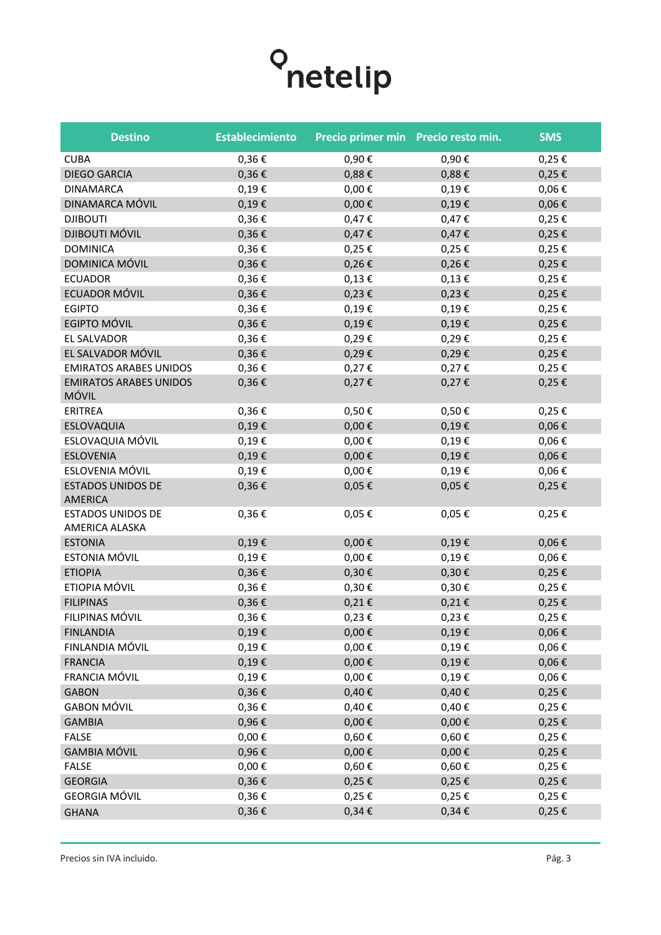

| <b>Destino</b>                             | <b>Establecimiento</b> | Precio primer min Precio resto min. |            | <b>SMS</b> |
|--------------------------------------------|------------------------|-------------------------------------|------------|------------|
| <b>CUBA</b>                                | $0,36 \in$             | 0,90€                               | 0,90€      | $0,25 \in$ |
| <b>DIEGO GARCIA</b>                        | $0,36 \in$             | 0,88€                               | $0,88 \in$ | $0,25 \in$ |
| <b>DINAMARCA</b>                           | $0,19 \in$             | $0,00 \in$                          | $0,19 \in$ | $0,06 \in$ |
| DINAMARCA MÓVIL                            | $0,19 \in$             | $0,00 \in$                          | $0,19 \in$ | $0,06 \in$ |
| <b>DJIBOUTI</b>                            | 0,36€                  | $0,47 \in$                          | $0,47 \in$ | $0,25 \in$ |
| <b>DJIBOUTI MÓVIL</b>                      | $0,36 \in$             | $0,47 \in$                          | $0,47 \in$ | $0,25 \in$ |
| <b>DOMINICA</b>                            | $0,36 \in$             | $0,25 \in$                          | $0,25 \in$ | $0,25 \in$ |
| DOMINICA MÓVIL                             | $0,36 \in$             | $0,26 \in$                          | $0,26 \in$ | $0,25 \in$ |
| <b>ECUADOR</b>                             | 0,36€                  | $0,13 \in$                          | $0,13 \in$ | $0,25 \in$ |
| ECUADOR MÓVIL                              | $0,36 \in$             | $0,23 \in$                          | $0,23 \in$ | $0,25 \in$ |
| <b>EGIPTO</b>                              | $0,36 \in$             | $0,19 \in$                          | $0,19 \in$ | $0,25 \in$ |
| EGIPTO MÓVIL                               | $0,36 \in$             | $0,19 \in$                          | $0,19 \in$ | $0,25 \in$ |
| <b>EL SALVADOR</b>                         | 0,36€                  | 0,29€                               | 0,29€      | 0,25€      |
| EL SALVADOR MÓVIL                          | $0,36 \in$             | 0,29€                               | 0,29€      | $0,25 \in$ |
| <b>EMIRATOS ARABES UNIDOS</b>              | 0,36€                  | $0,27 \in$                          | $0,27 \in$ | $0,25 \in$ |
| <b>EMIRATOS ARABES UNIDOS</b><br>MÓVIL     | $0,36 \in$             | $0,27 \in$                          | $0,27 \in$ | $0,25 \in$ |
| ERITREA                                    | 0,36€                  | 0,50€                               | $0,50 \in$ | 0,25€      |
| ESLOVAQUIA                                 | $0,19 \in$             | $0,00 \in$                          | $0,19 \in$ | $0,06 \in$ |
| ESLOVAQUIA MÓVIL                           | 0,19€                  | $0,00 \in$                          | $0,19 \in$ | $0,06 \in$ |
| <b>ESLOVENIA</b>                           | 0,19€                  | $0,00 \in$                          | $0,19 \in$ | $0,06 \in$ |
| ESLOVENIA MÓVIL                            | $0,19 \in$             | $0,00 \in$                          | $0,19 \in$ | $0,06 \in$ |
| <b>ESTADOS UNIDOS DE</b><br><b>AMERICA</b> | 0,36€                  | 0,05€                               | $0,05 \in$ | $0,25 \in$ |
| <b>ESTADOS UNIDOS DE</b><br>AMERICA ALASKA | $0,36 \in$             | 0,05€                               | $0,05 \in$ | 0,25€      |
| <b>ESTONIA</b>                             | $0,19 \in$             | $0,00 \in$                          | $0,19 \in$ | $0,06 \in$ |
| ESTONIA MÓVIL                              | $0,19 \in$             | $0,00 \in$                          | $0,19 \in$ | $0,06 \in$ |
| <b>ETIOPIA</b>                             | 0,36€                  | $0,30 \in$                          | $0,30 \in$ | $0,25 \in$ |
| ETIOPIA MÓVIL                              | $0,36 \in$             | 0,30€                               | $0,30 \in$ | $0,25 \in$ |
| <b>FILIPINAS</b>                           | 0,36€                  | $0,21 \in$                          | $0,21 \in$ | $0,25 \in$ |
| FILIPINAS MÓVIL                            | 0,36€                  | 0,23€                               | 0,23€      | 0,25€      |
| <b>FINLANDIA</b>                           | 0,19€                  | $0,00 \in$                          | $0,19 \in$ | $0,06 \in$ |
| FINLANDIA MÓVIL                            | $0,19 \in$             | $0,00 \in$                          | $0,19 \in$ | $0,06 \in$ |
| <b>FRANCIA</b>                             | $0,19 \in$             | $0,00 \in$                          | $0,19 \in$ | $0,06 \in$ |
| FRANCIA MÓVIL                              | $0,19 \in$             | $0,00 \in$                          | $0,19 \in$ | $0,06 \in$ |
| <b>GABON</b>                               | $0,36 \in$             | 0,40€                               | $0,40 \in$ | $0,25 \in$ |
| <b>GABON MÓVIL</b>                         | $0,36 \in$             | 0,40€                               | $0,40 \in$ | $0,25 \in$ |
| <b>GAMBIA</b>                              | 0,96€                  | $0,00 \in$                          | $0,00 \in$ | $0,25 \in$ |
| <b>FALSE</b>                               | $0,00 \in$             | $0,60 \in$                          | $0,60 \in$ | $0,25 \in$ |
| <b>GAMBIA MÓVIL</b>                        | $0,96 \in$             | $0,00 \in$                          | $0,00 \in$ | $0,25 \in$ |
| <b>FALSE</b>                               | $0,00 \in$             | $0,60 \in$                          | $0,60 \in$ | $0,25 \in$ |
| <b>GEORGIA</b>                             | 0,36€                  | $0,25 \in$                          | $0,25 \in$ | $0,25 \in$ |
| <b>GEORGIA MÓVIL</b>                       | 0,36€                  | 0,25€                               | $0,25 \in$ | $0,25 \in$ |
| <b>GHANA</b>                               | $0,36 \in$             | $0,34 \in$                          | $0,34 \in$ | $0,25 \in$ |
|                                            |                        |                                     |            |            |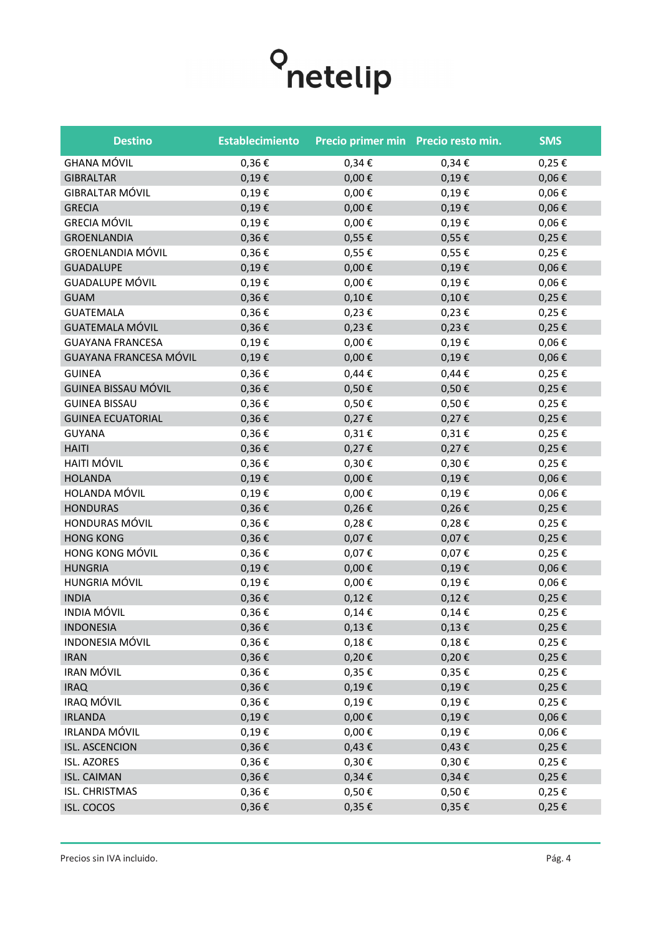

| <b>GHANA MÓVIL</b><br>$0,36 \in$<br>$0,34 \in$<br>0,25€<br>$0,34 \in$<br>0,19€<br>$0,00 \in$<br>0,19€<br>$0,06 \in$<br><b>GIBRALTAR</b><br><b>GIBRALTAR MÓVIL</b><br>0,19€<br>$0,00 \in$<br>0,19€<br>$0,06 \in$<br><b>GRECIA</b><br>0,19€<br>$0,00 \in$<br>0,19€<br>$0,06 \in$<br><b>GRECIA MÓVIL</b><br>0,19€<br>$0,06 \in$<br>$0,00 \in$<br>0,19€<br>0,36€<br>0,55€<br>$0,25 \in$<br><b>GROENLANDIA</b><br>0,55€<br><b>GROENLANDIA MÓVIL</b><br>0,36€<br>0,55€<br>0,55€<br>$0,25 \in$<br><b>GUADALUPE</b><br>0,19€<br>$0,00 \in$<br>$0,19 \in$<br>$0,06 \in$<br><b>GUADALUPE MÓVIL</b><br>0,19€<br>$0,00 \in$<br>0,19€<br>$0,06 \in$<br>$0,36 \in$<br>$0,10 \in$<br>$0,10 \in$<br>$0,25 \in$<br><b>GUAM</b><br><b>GUATEMALA</b><br>0,36€<br>$0,23 \in$<br>$0,23 \in$<br>0,25€<br><b>GUATEMALA MÓVIL</b><br>$0,36 \in$<br>$0,23 \in$<br>$0,23 \in$<br>$0,25 \in$<br><b>GUAYANA FRANCESA</b><br>0,19€<br>$0,00 \in$<br>0,19€<br>$0,06 \in$ | <b>Destino</b>                | <b>Establecimiento</b> | Precio primer min Precio resto min. |       | <b>SMS</b> |
|--------------------------------------------------------------------------------------------------------------------------------------------------------------------------------------------------------------------------------------------------------------------------------------------------------------------------------------------------------------------------------------------------------------------------------------------------------------------------------------------------------------------------------------------------------------------------------------------------------------------------------------------------------------------------------------------------------------------------------------------------------------------------------------------------------------------------------------------------------------------------------------------------------------------------------------------|-------------------------------|------------------------|-------------------------------------|-------|------------|
|                                                                                                                                                                                                                                                                                                                                                                                                                                                                                                                                                                                                                                                                                                                                                                                                                                                                                                                                            |                               |                        |                                     |       |            |
|                                                                                                                                                                                                                                                                                                                                                                                                                                                                                                                                                                                                                                                                                                                                                                                                                                                                                                                                            |                               |                        |                                     |       |            |
|                                                                                                                                                                                                                                                                                                                                                                                                                                                                                                                                                                                                                                                                                                                                                                                                                                                                                                                                            |                               |                        |                                     |       |            |
|                                                                                                                                                                                                                                                                                                                                                                                                                                                                                                                                                                                                                                                                                                                                                                                                                                                                                                                                            |                               |                        |                                     |       |            |
|                                                                                                                                                                                                                                                                                                                                                                                                                                                                                                                                                                                                                                                                                                                                                                                                                                                                                                                                            |                               |                        |                                     |       |            |
|                                                                                                                                                                                                                                                                                                                                                                                                                                                                                                                                                                                                                                                                                                                                                                                                                                                                                                                                            |                               |                        |                                     |       |            |
|                                                                                                                                                                                                                                                                                                                                                                                                                                                                                                                                                                                                                                                                                                                                                                                                                                                                                                                                            |                               |                        |                                     |       |            |
|                                                                                                                                                                                                                                                                                                                                                                                                                                                                                                                                                                                                                                                                                                                                                                                                                                                                                                                                            |                               |                        |                                     |       |            |
|                                                                                                                                                                                                                                                                                                                                                                                                                                                                                                                                                                                                                                                                                                                                                                                                                                                                                                                                            |                               |                        |                                     |       |            |
|                                                                                                                                                                                                                                                                                                                                                                                                                                                                                                                                                                                                                                                                                                                                                                                                                                                                                                                                            |                               |                        |                                     |       |            |
|                                                                                                                                                                                                                                                                                                                                                                                                                                                                                                                                                                                                                                                                                                                                                                                                                                                                                                                                            |                               |                        |                                     |       |            |
|                                                                                                                                                                                                                                                                                                                                                                                                                                                                                                                                                                                                                                                                                                                                                                                                                                                                                                                                            |                               |                        |                                     |       |            |
|                                                                                                                                                                                                                                                                                                                                                                                                                                                                                                                                                                                                                                                                                                                                                                                                                                                                                                                                            |                               |                        |                                     |       |            |
|                                                                                                                                                                                                                                                                                                                                                                                                                                                                                                                                                                                                                                                                                                                                                                                                                                                                                                                                            | <b>GUAYANA FRANCESA MÓVIL</b> | $0,19 \in$             | $0,00 \in$                          | 0,19€ | $0,06 \in$ |
| 0,36€<br>$0,44 \in$<br>$0,44 \in$<br><b>GUINEA</b><br>0,25€                                                                                                                                                                                                                                                                                                                                                                                                                                                                                                                                                                                                                                                                                                                                                                                                                                                                                |                               |                        |                                     |       |            |
| GUINEA BISSAU MÓVIL<br>$0,36 \in$<br>$0,50 \in$<br>0,50€<br>$0,25 \in$                                                                                                                                                                                                                                                                                                                                                                                                                                                                                                                                                                                                                                                                                                                                                                                                                                                                     |                               |                        |                                     |       |            |
| <b>GUINEA BISSAU</b><br>$0,36 \in$<br>0,50€<br>0,50€<br>0,25€                                                                                                                                                                                                                                                                                                                                                                                                                                                                                                                                                                                                                                                                                                                                                                                                                                                                              |                               |                        |                                     |       |            |
| $0,36 \in$<br>0,27€<br>$0,27 \in$<br><b>GUINEA ECUATORIAL</b><br>$0,25 \in$                                                                                                                                                                                                                                                                                                                                                                                                                                                                                                                                                                                                                                                                                                                                                                                                                                                                |                               |                        |                                     |       |            |
| $0,36 \in$<br><b>GUYANA</b><br>$0,31 \in$<br>$0,31 \in$<br>$0,25 \in$                                                                                                                                                                                                                                                                                                                                                                                                                                                                                                                                                                                                                                                                                                                                                                                                                                                                      |                               |                        |                                     |       |            |
| <b>HAITI</b><br>$0,36 \in$<br>0,27€<br>$0,27 \in$<br>$0,25 \in$                                                                                                                                                                                                                                                                                                                                                                                                                                                                                                                                                                                                                                                                                                                                                                                                                                                                            |                               |                        |                                     |       |            |
| <b>HAITI MÓVIL</b><br>$0,36 \in$<br>$0,25 \in$<br>0,30€<br>$0,30 \in$                                                                                                                                                                                                                                                                                                                                                                                                                                                                                                                                                                                                                                                                                                                                                                                                                                                                      |                               |                        |                                     |       |            |
| <b>HOLANDA</b><br>$0,19 \in$<br>$0,00 \in$<br>0,19€<br>$0,06 \in$                                                                                                                                                                                                                                                                                                                                                                                                                                                                                                                                                                                                                                                                                                                                                                                                                                                                          |                               |                        |                                     |       |            |
| HOLANDA MÓVIL<br>0,19€<br>$0,00 \in$<br>$0,19 \in$<br>$0,06 \in$                                                                                                                                                                                                                                                                                                                                                                                                                                                                                                                                                                                                                                                                                                                                                                                                                                                                           |                               |                        |                                     |       |            |
| <b>HONDURAS</b><br>$0,36 \in$<br>$0,26 \in$<br>$0,26 \in$<br>$0,25 \in$                                                                                                                                                                                                                                                                                                                                                                                                                                                                                                                                                                                                                                                                                                                                                                                                                                                                    |                               |                        |                                     |       |            |
| HONDURAS MÓVIL<br>$0,36 \in$<br>0,28€<br>0,28€<br>0,25€                                                                                                                                                                                                                                                                                                                                                                                                                                                                                                                                                                                                                                                                                                                                                                                                                                                                                    |                               |                        |                                     |       |            |
| <b>HONG KONG</b><br>0,36€<br>0,07€<br>0,07€<br>$0,25 \in$                                                                                                                                                                                                                                                                                                                                                                                                                                                                                                                                                                                                                                                                                                                                                                                                                                                                                  |                               |                        |                                     |       |            |
| HONG KONG MÓVIL<br>0,36€<br>0,07€<br>0,07€<br>$0,25 \in$                                                                                                                                                                                                                                                                                                                                                                                                                                                                                                                                                                                                                                                                                                                                                                                                                                                                                   |                               |                        |                                     |       |            |
| <b>HUNGRIA</b><br>0,19€<br>$0,00 \in$<br>$0,19 \in$<br>$0,06 \in$                                                                                                                                                                                                                                                                                                                                                                                                                                                                                                                                                                                                                                                                                                                                                                                                                                                                          |                               |                        |                                     |       |            |
| HUNGRIA MÓVIL<br>$0,19 \in$<br>$0,00 \in$<br>0,19€<br>$0,06 \in$                                                                                                                                                                                                                                                                                                                                                                                                                                                                                                                                                                                                                                                                                                                                                                                                                                                                           |                               |                        |                                     |       |            |
| 0,36€<br><b>INDIA</b><br>$0,12 \in$<br>$0,12 \in$<br>$0,25 \in$                                                                                                                                                                                                                                                                                                                                                                                                                                                                                                                                                                                                                                                                                                                                                                                                                                                                            |                               |                        |                                     |       |            |
| <b>INDIA MÓVIL</b><br>0,36€<br>$0,14 \in$<br>$0,14 \in$<br>$0,25 \in$                                                                                                                                                                                                                                                                                                                                                                                                                                                                                                                                                                                                                                                                                                                                                                                                                                                                      |                               |                        |                                     |       |            |
| <b>INDONESIA</b><br>$0,36 \in$<br>$0,13 \in$<br>$0,13 \in$<br>$0,25 \in$                                                                                                                                                                                                                                                                                                                                                                                                                                                                                                                                                                                                                                                                                                                                                                                                                                                                   |                               |                        |                                     |       |            |
| <b>INDONESIA MÓVIL</b><br>$0,36 \in$<br>$0,18 \in$<br>$0,18 \in$<br>$0,25 \in$                                                                                                                                                                                                                                                                                                                                                                                                                                                                                                                                                                                                                                                                                                                                                                                                                                                             |                               |                        |                                     |       |            |
| $0,36 \in$<br>$0,20 \in$<br><b>IRAN</b><br>$0,20 \in$<br>$0,25 \in$                                                                                                                                                                                                                                                                                                                                                                                                                                                                                                                                                                                                                                                                                                                                                                                                                                                                        |                               |                        |                                     |       |            |
| IRAN MÓVIL<br>$0,36 \in$<br>0,35€<br>$0,35 \in$<br>$0,25 \in$                                                                                                                                                                                                                                                                                                                                                                                                                                                                                                                                                                                                                                                                                                                                                                                                                                                                              |                               |                        |                                     |       |            |
| <b>IRAQ</b><br>$0,36 \in$<br>$0,19 \in$<br>$0,19 \in$<br>$0,25 \in$                                                                                                                                                                                                                                                                                                                                                                                                                                                                                                                                                                                                                                                                                                                                                                                                                                                                        |                               |                        |                                     |       |            |
| IRAQ MÓVIL<br>$0,36 \in$<br>$0,19 \in$<br>$0,19 \in$<br>$0,25 \in$                                                                                                                                                                                                                                                                                                                                                                                                                                                                                                                                                                                                                                                                                                                                                                                                                                                                         |                               |                        |                                     |       |            |
| $0,00 \in$<br>$0,19 \in$<br>$0,06 \in$<br><b>IRLANDA</b><br>$0,19 \in$                                                                                                                                                                                                                                                                                                                                                                                                                                                                                                                                                                                                                                                                                                                                                                                                                                                                     |                               |                        |                                     |       |            |
| IRLANDA MÓVIL<br>0,19€<br>$0,00 \in$<br>0,19€<br>$0,06 \in$                                                                                                                                                                                                                                                                                                                                                                                                                                                                                                                                                                                                                                                                                                                                                                                                                                                                                |                               |                        |                                     |       |            |
| <b>ISL. ASCENCION</b><br>$0,36 \in$<br>$0,43 \in$<br>$0,43 \in$<br>$0,25 \in$                                                                                                                                                                                                                                                                                                                                                                                                                                                                                                                                                                                                                                                                                                                                                                                                                                                              |                               |                        |                                     |       |            |
| <b>ISL. AZORES</b><br>$0,30 \in$<br>$0,36 \in$<br>$0,30 \in$<br>$0,25 \in$                                                                                                                                                                                                                                                                                                                                                                                                                                                                                                                                                                                                                                                                                                                                                                                                                                                                 |                               |                        |                                     |       |            |
| <b>ISL. CAIMAN</b><br>$0,36 \in$<br>$0,34 \in$<br>$0,34 \in$<br>$0,25 \in$                                                                                                                                                                                                                                                                                                                                                                                                                                                                                                                                                                                                                                                                                                                                                                                                                                                                 |                               |                        |                                     |       |            |
| ISL. CHRISTMAS<br>$0,36 \in$<br>0,50€<br>0,50€<br>$0,25 \in$                                                                                                                                                                                                                                                                                                                                                                                                                                                                                                                                                                                                                                                                                                                                                                                                                                                                               |                               |                        |                                     |       |            |
| $0,36 \in$<br>$0,35 \in$<br>$0,35 \in$<br>$0,25 \in$<br><b>ISL. COCOS</b>                                                                                                                                                                                                                                                                                                                                                                                                                                                                                                                                                                                                                                                                                                                                                                                                                                                                  |                               |                        |                                     |       |            |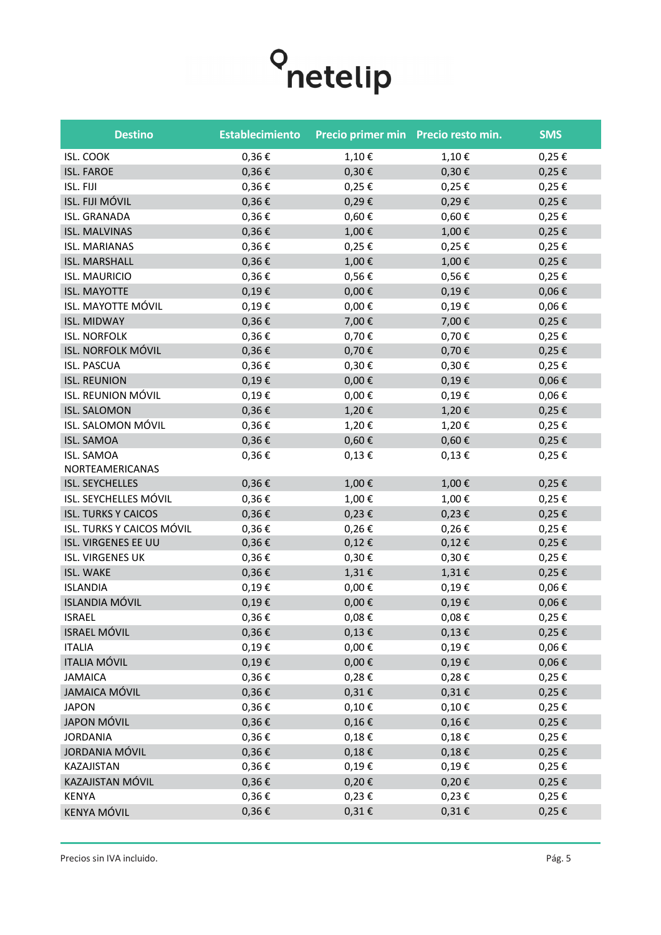| <b>Destino</b>                       | <b>Establecimiento</b> | Precio primer min Precio resto min. |            | <b>SMS</b> |
|--------------------------------------|------------------------|-------------------------------------|------------|------------|
| <b>ISL. COOK</b>                     | $0,36 \in$             | 1,10€                               | 1,10€      | 0,25€      |
| <b>ISL. FAROE</b>                    | $0,36 \in$             | $0,30 \in$                          | $0,30 \in$ | $0,25 \in$ |
| ISL. FIJI                            | 0,36€                  | 0,25€                               | 0,25€      | $0,25 \in$ |
| ISL. FIJI MÓVIL                      | 0,36€                  | 0,29€                               | 0,29€      | $0,25 \in$ |
| <b>ISL. GRANADA</b>                  | 0,36€                  | $0,60 \in$                          | $0,60 \in$ | 0,25€      |
| <b>ISL. MALVINAS</b>                 | $0,36 \in$             | 1,00€                               | 1,00€      | $0,25 \in$ |
| <b>ISL. MARIANAS</b>                 | 0,36€                  | 0,25€                               | 0,25€      | 0,25€      |
| <b>ISL. MARSHALL</b>                 | 0,36€                  | 1,00€                               | 1,00€      | $0,25 \in$ |
| <b>ISL. MAURICIO</b>                 | 0,36€                  | 0,56€                               | 0,56€      | $0,25 \in$ |
| <b>ISL. MAYOTTE</b>                  | $0,19 \in$             | $0,00 \in$                          | 0,19€      | $0,06 \in$ |
| ISL. MAYOTTE MÓVIL                   | 0,19€                  | $0,00 \in$                          | 0,19€      | $0,06 \in$ |
| <b>ISL. MIDWAY</b>                   | 0,36€                  | 7,00€                               | 7,00€      | $0,25 \in$ |
| <b>ISL. NORFOLK</b>                  | 0,36€                  | 0,70€                               | 0,70€      | 0,25€      |
| ISL. NORFOLK MÓVIL                   | $0,36 \in$             | 0,70€                               | 0,70€      | $0,25 \in$ |
| <b>ISL. PASCUA</b>                   | 0,36€                  | 0,30€                               | 0,30€      | $0,25 \in$ |
| <b>ISL. REUNION</b>                  | $0,19 \in$             | $0,00 \in$                          | $0,19 \in$ | $0,06 \in$ |
| ISL. REUNION MÓVIL                   | 0,19€                  | $0,00 \in$                          | 0,19€      | $0,06 \in$ |
| <b>ISL. SALOMON</b>                  | $0,36 \in$             | 1,20€                               | 1,20€      | $0,25 \in$ |
| ISL. SALOMON MÓVIL                   | 0,36€                  | 1,20€                               | 1,20€      | $0,25 \in$ |
| <b>ISL. SAMOA</b>                    | $0,36 \in$             | $0,60 \in$                          | $0,60 \in$ | $0,25 \in$ |
| <b>ISL. SAMOA</b><br>NORTEAMERICANAS | 0,36€                  | $0,13 \in$                          | $0,13 \in$ | $0,25 \in$ |
| ISL. SEYCHELLES                      | $0,36 \in$             | 1,00€                               | 1,00€      | $0,25 \in$ |
| ISL. SEYCHELLES MÓVIL                | $0,36 \in$             | 1,00€                               | 1,00€      | 0,25€      |
| <b>ISL. TURKS Y CAICOS</b>           | $0,36 \in$             | 0,23€                               | $0,23 \in$ | $0,25 \in$ |
| ISL. TURKS Y CAICOS MÓVIL            | $0,36 \in$             | 0,26€                               | $0,26 \in$ | 0,25€      |
| ISL. VIRGENES EE UU                  | $0,36 \in$             | $0,12 \in$                          | $0,12 \in$ | $0,25 \in$ |
| <b>ISL. VIRGENES UK</b>              | 0,36€                  | 0,30€                               | 0,30€      | 0,25€      |
| <b>ISL. WAKE</b>                     | 0,36€                  | 1,31€                               | 1,31€      | $0,25 \in$ |
| <b>ISLANDIA</b>                      | 0,19€                  | $0,00 \in$                          | 0,19€      | $0,06 \in$ |
| <b>ISLANDIA MÓVIL</b>                | 0,19€                  | $0,00 \in$                          | 0,19€      | $0,06 \in$ |
| <b>ISRAEL</b>                        | 0,36€                  | $0,08 \in$                          | $0,08 \in$ | 0,25€      |
| <b>ISRAEL MÓVIL</b>                  | $0,36 \in$             | $0,13 \in$                          | $0,13 \in$ | $0,25 \in$ |
| <b>ITALIA</b>                        | $0,19 \in$             | $0,00 \in$                          | 0,19€      | $0,06 \in$ |
| <b>ITALIA MÓVIL</b>                  | $0,19 \in$             | $0,00 \in$                          | 0,19€      | $0,06 \in$ |
| <b>JAMAICA</b>                       | $0,36 \in$             | 0,28€                               | 0,28€      | 0,25€      |
| <b>JAMAICA MÓVIL</b>                 | $0,36 \in$             | $0,31 \in$                          | $0,31 \in$ | $0,25 \in$ |
| <b>JAPON</b>                         | $0,36 \in$             | $0,10\in$                           | 0,10€      | $0,25 \in$ |
| <b>JAPON MÓVIL</b>                   | $0,36 \in$             | $0,16 \in$                          | $0,16 \in$ | $0,25 \in$ |
| <b>JORDANIA</b>                      | $0,36 \in$             | $0,18 \in$                          | $0,18 \in$ | $0,25 \in$ |
| JORDANIA MÓVIL                       | $0,36 \in$             | $0,18 \in$                          | $0,18 \in$ | $0,25 \in$ |
| KAZAJISTAN                           | $0,36 \in$             | 0,19€                               | 0,19€      | $0,25 \in$ |
| KAZAJISTAN MÓVIL                     | $0,36 \in$             | $0,20 \in$                          | 0,20€      | $0,25 \in$ |
| <b>KENYA</b>                         | $0,36 \in$             | $0,23 \in$                          | $0,23 \in$ | $0,25 \in$ |
| KENYA MÓVIL                          | $0,36 \in$             | $0,31 \in$                          | $0,31 \in$ | $0,25 \in$ |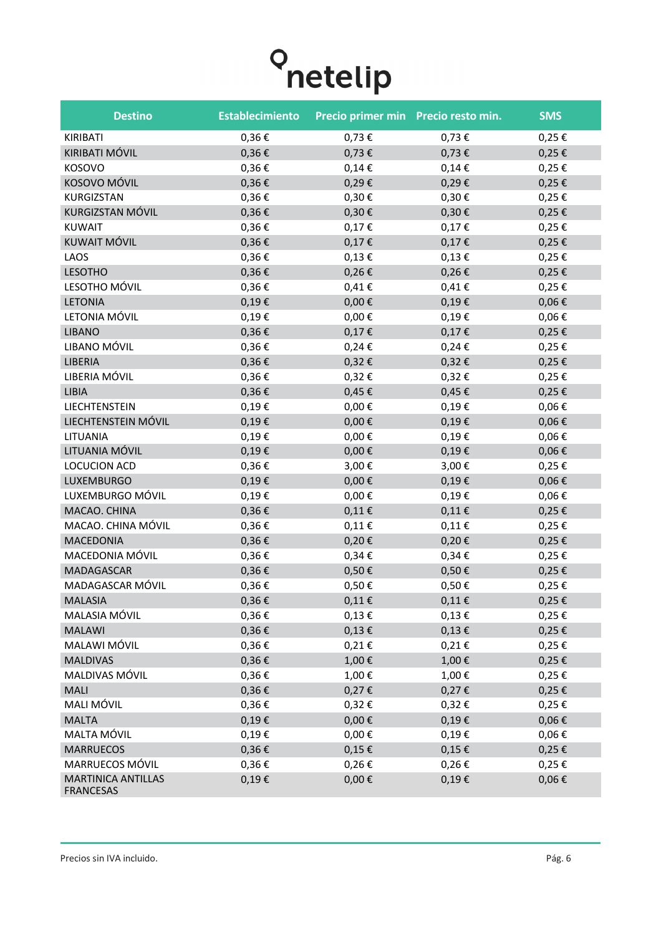| <b>Destino</b>                                | <b>Establecimiento</b> | Precio primer min Precio resto min. |            | <b>SMS</b> |
|-----------------------------------------------|------------------------|-------------------------------------|------------|------------|
| KIRIBATI                                      | 0,36€                  | 0,73€                               | 0,73€      | $0,25 \in$ |
| KIRIBATI MÓVIL                                | 0,36€                  | $0,73 \in$                          | $0,73 \in$ | $0,25 \in$ |
| <b>KOSOVO</b>                                 | 0,36€                  | $0,14 \in$                          | $0,14 \in$ | 0,25€      |
| KOSOVO MÓVIL                                  | $0,36 \in$             | 0,29€                               | 0,29€      | $0,25 \in$ |
| KURGIZSTAN                                    | 0,36€                  | 0,30€                               | $0,30 \in$ | $0,25 \in$ |
| KURGIZSTAN MÓVIL                              | 0,36€                  | $0,30 \in$                          | $0,30 \in$ | $0,25 \in$ |
| <b>KUWAIT</b>                                 | 0,36€                  | $0,17 \in$                          | $0,17 \in$ | $0,25 \in$ |
| KUWAIT MÓVIL                                  | 0,36€                  | $0,17 \in$                          | $0,17 \in$ | $0,25 \in$ |
| LAOS                                          | 0,36€                  | $0,13 \in$                          | $0,13 \in$ | 0,25€      |
| <b>LESOTHO</b>                                | $0,36 \in$             | $0,26 \in$                          | $0,26 \in$ | $0,25 \in$ |
| LESOTHO MÓVIL                                 | 0,36€                  | $0,41 \in$                          | $0,41 \in$ | 0,25€      |
| <b>LETONIA</b>                                | 0,19€                  | $0,00 \in$                          | $0,19 \in$ | $0,06 \in$ |
| LETONIA MÓVIL                                 | 0,19€                  | $0,00 \in$                          | $0,19 \in$ | $0,06 \in$ |
| <b>LIBANO</b>                                 | 0,36€                  | $0,17 \in$                          | $0,17 \in$ | $0,25 \in$ |
| LIBANO MÓVIL                                  | 0,36€                  | $0,24 \in$                          | $0,24 \in$ | 0,25€      |
| LIBERIA                                       | 0,36€                  | $0,32 \in$                          | $0,32 \in$ | $0,25 \in$ |
| LIBERIA MÓVIL                                 | 0,36€                  | 0,32€                               | $0,32 \in$ | $0,25 \in$ |
| LIBIA                                         | 0,36€                  | $0,45 \in$                          | $0,45 \in$ | $0,25 \in$ |
| LIECHTENSTEIN                                 | 0,19€                  | $0,00 \in$                          | $0,19 \in$ | $0,06 \in$ |
| LIECHTENSTEIN MÓVIL                           | $0,19 \in$             | $0,00 \in$                          | $0,19 \in$ | $0,06 \in$ |
| LITUANIA                                      | 0,19€                  | $0,00 \in$                          | $0,19 \in$ | $0,06 \in$ |
| LITUANIA MÓVIL                                | $0,19 \in$             | $0,00 \in$                          | $0,19 \in$ | $0,06 \in$ |
| LOCUCION ACD                                  | 0,36€                  | 3,00€                               | 3,00€      | 0,25€      |
| LUXEMBURGO                                    | $0,19 \in$             | $0,00 \in$                          | $0,19 \in$ | $0,06 \in$ |
| LUXEMBURGO MÓVIL                              | 0,19€                  | $0,00 \in$                          | $0,19 \in$ | $0,06 \in$ |
| MACAO. CHINA                                  | 0,36€                  | $0,11 \in$                          | $0,11 \in$ | $0,25 \in$ |
| MACAO. CHINA MÓVIL                            | 0,36€                  | $0,11 \in$                          | $0,11 \in$ | $0,25 \in$ |
| MACEDONIA                                     | 0,36€                  | 0,20€                               | $0,20 \in$ | 0,25€      |
| MACEDONIA MÓVIL                               | 0,36€                  | $0,34 \in$                          | $0,34 \in$ | $0,25 \in$ |
| <b>MADAGASCAR</b>                             | 0,36€                  | 0,50€                               | $0,50 \in$ | $0,25 \in$ |
| MADAGASCAR MÓVIL                              | 0,36€                  | 0,50€                               | 0,50€      | 0,25€      |
| <b>MALASIA</b>                                | $0,36 \in$             | $0,11\in$                           | $0,11\in$  | 0,25€      |
| MALASIA MÓVIL                                 | $0,36 \in$             | $0,13 \in$                          | $0,13 \in$ | $0,25 \in$ |
| <b>MALAWI</b>                                 | 0,36€                  | $0,13 \in$                          | $0,13 \in$ | $0,25 \in$ |
| MALAWI MÓVIL                                  | $0,36 \in$             | $0,21 \in$                          | $0,21 \in$ | $0,25 \in$ |
| <b>MALDIVAS</b>                               | $0,36 \in$             | 1,00€                               | 1,00€      | $0,25 \in$ |
| MALDIVAS MÓVIL                                | 0,36€                  | 1,00€                               | 1,00€      | 0,25€      |
| <b>MALI</b>                                   | 0,36€                  | $0,27 \in$                          | $0,27 \in$ | $0,25 \in$ |
| MALI MÓVIL                                    | 0,36€                  | $0,32 \in$                          | $0,32 \in$ | $0,25 \in$ |
| <b>MALTA</b>                                  | $0,19 \in$             | $0,00 \in$                          | $0,19 \in$ | $0,06 \in$ |
| MALTA MÓVIL                                   | 0,19€                  | $0,00 \in$                          | $0,19 \in$ | $0,06 \in$ |
| <b>MARRUECOS</b>                              | 0,36€                  | $0,15 \in$                          | $0,15 \in$ | $0,25 \in$ |
| MARRUECOS MÓVIL                               | 0,36€                  | $0,26 \in$                          | $0,26 \in$ | $0,25 \in$ |
| <b>MARTINICA ANTILLAS</b><br><b>FRANCESAS</b> | 0,19€                  | $0,00 \in$                          | $0,19 \in$ | $0,06 \in$ |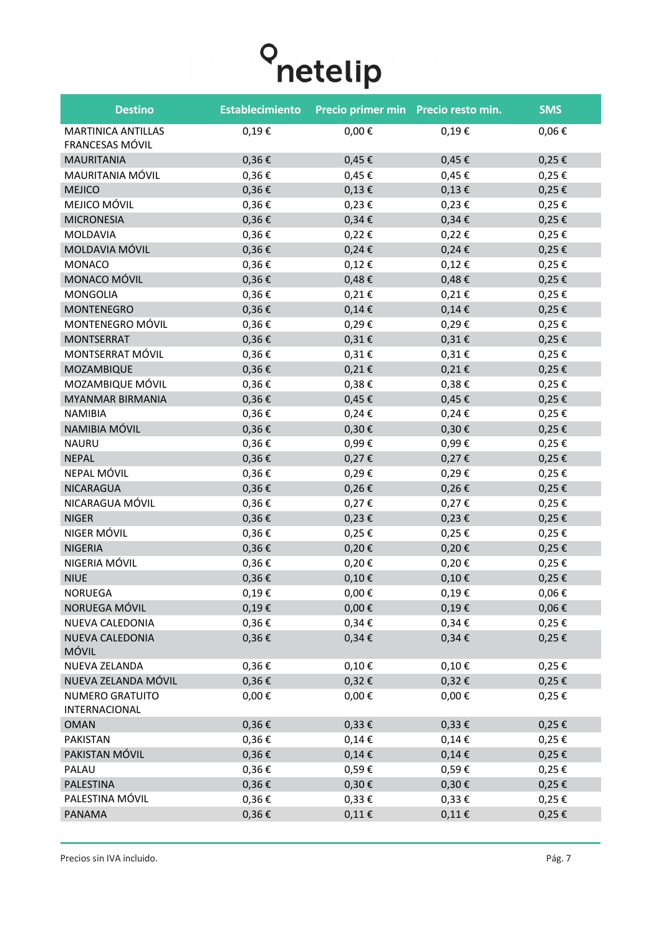# **O** netelip

| <b>Destino</b>                               | <b>Establecimiento</b> | Precio primer min Precio resto min. |            | <b>SMS</b> |
|----------------------------------------------|------------------------|-------------------------------------|------------|------------|
| <b>MARTINICA ANTILLAS</b><br>FRANCESAS MÓVIL | $0,19 \in$             | $0,00 \in$                          | $0,19 \in$ | $0,06 \in$ |
| <b>MAURITANIA</b>                            | $0,36 \in$             | $0,45 \in$                          | $0,45 \in$ | $0,25 \in$ |
| MAURITANIA MÓVIL                             | 0,36€                  | 0,45€                               | $0,45 \in$ | 0,25€      |
| <b>MEJICO</b>                                | $0,36 \in$             | $0,13 \in$                          | $0,13 \in$ | $0,25 \in$ |
| MEJICO MÓVIL                                 | 0,36€                  | $0,23 \in$                          | $0,23 \in$ | 0,25€      |
| <b>MICRONESIA</b>                            | $0,36 \in$             | $0,34 \in$                          | $0,34 \in$ | $0,25 \in$ |
| <b>MOLDAVIA</b>                              | 0,36€                  | $0,22 \in$                          | $0,22 \in$ | $0,25 \in$ |
| MOLDAVIA MÓVIL                               | $0,36 \in$             | $0,24 \in$                          | $0,24 \in$ | $0,25 \in$ |
| <b>MONACO</b>                                | 0,36€                  | $0,12 \in$                          | $0,12 \in$ | $0,25 \in$ |
| MONACO MÓVIL                                 | $0,36 \in$             | $0,48 \in$                          | $0,48 \in$ | $0,25 \in$ |
| <b>MONGOLIA</b>                              | 0,36€                  | $0,21 \in$                          | $0,21 \in$ | $0,25 \in$ |
| <b>MONTENEGRO</b>                            | 0,36€                  | $0,14 \in$                          | $0,14 \in$ | $0,25 \in$ |
| MONTENEGRO MÓVIL                             | 0,36€                  | 0,29€                               | 0,29€      | 0,25€      |
| <b>MONTSERRAT</b>                            | $0,36 \in$             | $0,31 \in$                          | $0,31 \in$ | $0,25 \in$ |
| MONTSERRAT MÓVIL                             | 0,36€                  | $0,31 \in$                          | $0,31 \in$ | $0,25 \in$ |
| MOZAMBIQUE                                   | 0,36€                  | 0,21€                               | $0,21 \in$ | $0,25 \in$ |
| MOZAMBIQUE MÓVIL                             | 0,36€                  | $0,38 \in$                          | $0,38 \in$ | $0,25 \in$ |
| <b>MYANMAR BIRMANIA</b>                      | $0,36 \in$             | $0,45 \in$                          | $0,45 \in$ | $0,25 \in$ |
| <b>NAMIBIA</b>                               | 0,36€                  | $0,24 \in$                          | $0,24 \in$ | $0,25 \in$ |
| NAMIBIA MÓVIL                                | $0,36 \in$             | $0,30 \in$                          | $0,30 \in$ | $0,25 \in$ |
| <b>NAURU</b>                                 | 0,36€                  | 0,99€                               | 0,99€      | $0,25 \in$ |
| <b>NEPAL</b>                                 | $0,36 \in$             | $0,27 \in$                          | $0,27 \in$ | $0,25 \in$ |
| NEPAL MÓVIL                                  | 0,36€                  | 0,29€                               | 0,29€      | $0,25 \in$ |
| <b>NICARAGUA</b>                             | 0,36€                  | 0,26€                               | $0,26 \in$ | $0,25 \in$ |
| NICARAGUA MÓVIL                              | $0,36 \in$             | $0,27 \in$                          | $0,27 \in$ | $0,25 \in$ |
| <b>NIGER</b>                                 | $0,36 \in$             | $0,23 \in$                          | $0,23 \in$ | $0,25 \in$ |
| NIGER MÓVIL                                  | $0,36 \in$             | $0,25 \in$                          | $0,25 \in$ | $0,25 \in$ |
| <b>NIGERIA</b>                               | 0,36€                  | 0,20€                               | $0,20 \in$ | $0,25 \in$ |
| NIGERIA MÓVIL                                | 0,36€                  | 0,20€                               | $0,20 \in$ | $0,25 \in$ |
| <b>NIUE</b>                                  | 0,36€                  | $0,10 \in$                          | $0,10 \in$ | $0,25 \in$ |
| NORUEGA                                      | $0,19 \in$             | $0,00 \in$                          | $0,19 \in$ | $0,06 \in$ |
| NORUEGA MÓVIL                                | $0,19 \in$             | $0,00 \in$                          | $0,19 \in$ | $0,06 \in$ |
| NUEVA CALEDONIA                              | $0,36 \in$             | $0,34 \in$                          | $0,34 \in$ | $0,25 \in$ |
| NUEVA CALEDONIA<br>MÓVIL                     | $0,36 \in$             | $0,34 \in$                          | $0,34 \in$ | $0,25 \in$ |
| NUEVA ZELANDA                                | $0,36 \in$             | $0,10 \in$                          | $0,10 \in$ | $0,25 \in$ |
| NUEVA ZELANDA MÓVIL                          | $0,36 \in$             | $0,32 \in$                          | $0,32 \in$ | $0,25 \in$ |
| NUMERO GRATUITO<br>INTERNACIONAL             | $0,00 \in$             | $0,00 \in$                          | $0,00 \in$ | $0,25 \in$ |
| <b>OMAN</b>                                  | $0,36 \in$             | $0,33 \notin$                       | $0,33 \in$ | $0,25 \in$ |
| PAKISTAN                                     | $0,36 \in$             | $0,14 \in$                          | $0,14 \in$ | $0,25 \in$ |
| PAKISTAN MÓVIL                               | $0,36 \in$             | $0,14 \in$                          | $0,14 \in$ | $0,25 \in$ |
| PALAU                                        | $0,36 \in$             | 0,59€                               | 0,59€      | $0,25 \in$ |
| PALESTINA                                    | $0,36 \in$             | $0,30 \in$                          | $0,30 \in$ | $0,25 \in$ |
| PALESTINA MÓVIL                              | $0,36 \in$             | $0,33 \in$                          | $0,33 \in$ | $0,25 \in$ |
| PANAMA                                       | $0,36 \in$             | $0,11 \in$                          | $0,11 \in$ | $0,25 \in$ |
|                                              |                        |                                     |            |            |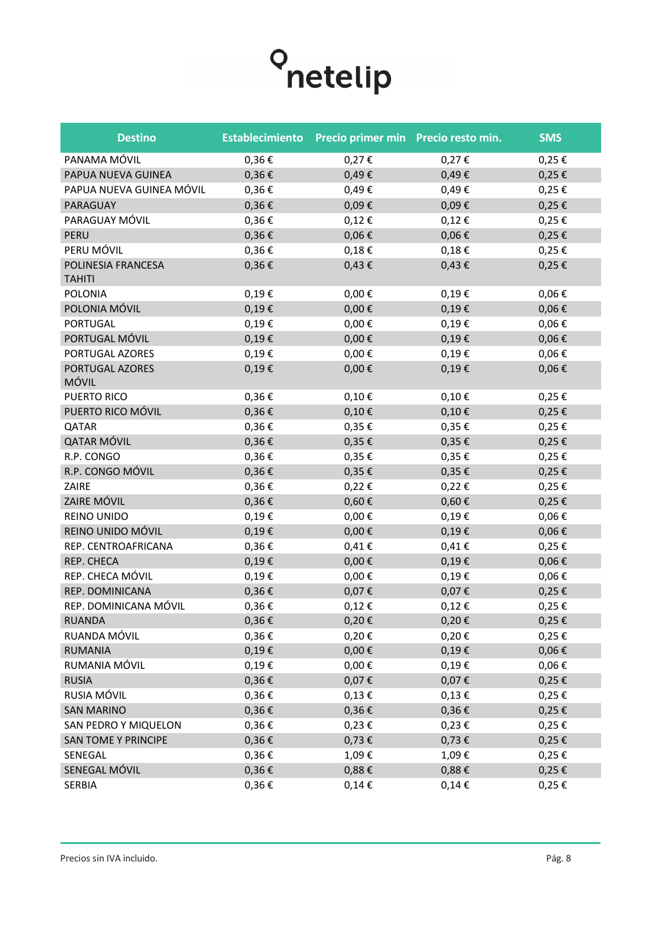

| <b>Destino</b>                      | <b>Establecimiento</b> | Precio primer min Precio resto min. |            | <b>SMS</b> |
|-------------------------------------|------------------------|-------------------------------------|------------|------------|
| PANAMA MÓVIL                        | 0,36€                  | 0,27€                               | 0,27€      | $0,25 \in$ |
| PAPUA NUEVA GUINEA                  | $0,36 \in$             | 0,49€                               | 0,49€      | $0,25 \in$ |
| PAPUA NUEVA GUINEA MÓVIL            | 0,36€                  | 0,49€                               | 0,49€      | 0,25€      |
| PARAGUAY                            | $0,36 \in$             | 0,09€                               | $0,09 \in$ | $0,25 \in$ |
| PARAGUAY MÓVIL                      | $0,36 \in$             | $0,12 \in$                          | $0,12 \in$ | $0,25 \in$ |
| PERU                                | $0,36 \in$             | 0,06€                               | $0,06 \in$ | $0,25 \in$ |
| PERU MÓVIL                          | 0,36€                  | $0,18 \in$                          | $0,18 \in$ | $0,25 \in$ |
| POLINESIA FRANCESA<br><b>TAHITI</b> | $0,36 \in$             | $0,43 \in$                          | $0,43 \in$ | $0,25 \in$ |
| POLONIA                             | $0,19 \in$             | $0,00 \in$                          | 0,19€      | $0,06 \in$ |
| POLONIA MÓVIL                       | $0,19 \in$             | $0,00 \in$                          | $0,19 \in$ | $0,06 \in$ |
| <b>PORTUGAL</b>                     | $0,19 \in$             | $0,00 \in$                          | $0,19 \in$ | $0,06 \in$ |
| PORTUGAL MÓVIL                      | $0,19 \in$             | $0,00 \in$                          | $0,19 \in$ | $0,06 \in$ |
| PORTUGAL AZORES                     | $0,19 \in$             | $0,00 \in$                          | $0,19 \in$ | $0,06 \in$ |
| PORTUGAL AZORES<br>MÓVIL            | $0,19 \in$             | $0,00 \in$                          | 0,19€      | $0,06 \in$ |
| PUERTO RICO                         | 0,36€                  | $0,10 \in$                          | $0,10 \in$ | 0,25€      |
| PUERTO RICO MÓVIL                   | $0,36 \in$             | $0,10 \in$                          | $0,10 \in$ | $0,25 \in$ |
| QATAR                               | 0,36€                  | $0,35 \in$                          | $0,35 \in$ | 0,25 €     |
| QATAR MÓVIL                         | $0,36 \in$             | 0,35€                               | $0,35 \in$ | $0,25 \in$ |
| R.P. CONGO                          | 0,36€                  | 0,35€                               | 0,35€      | $0,25 \in$ |
| R.P. CONGO MÓVIL                    | $0,36 \in$             | 0,35€                               | $0,35 \in$ | $0,25 \in$ |
| ZAIRE                               | 0,36€                  | 0,22€                               | $0,22 \in$ | 0,25€      |
| ZAIRE MÓVIL                         | $0,36 \in$             | $0,60 \in$                          | $0,60 \in$ | $0,25 \in$ |
| REINO UNIDO                         | $0,19 \in$             | $0,00 \in$                          | $0,19 \in$ | $0,06 \in$ |
| REINO UNIDO MÓVIL                   | $0,19 \in$             | $0,00 \in$                          | $0,19 \in$ | $0,06 \in$ |
| REP. CENTROAFRICANA                 | 0,36€                  | $0,41 \in$                          | $0,41 \in$ | 0,25€      |
| REP. CHECA                          | $0,19 \in$             | $0,00 \in$                          | $0,19 \in$ | $0,06 \in$ |
| REP. CHECA MÓVIL                    | 0,19€                  | $0,00 \in$                          | $0,19 \in$ | $0,06 \in$ |
| REP. DOMINICANA                     | $0,36 \in$             | 0,07€                               | 0,07€      | $0,25 \in$ |
| REP. DOMINICANA MÓVIL               | 0,36€                  | 0,12€                               | $0,12 \in$ | 0,25€      |
| RUANDA                              | $0,36 \in$             | 0,20€                               | 0,20€      | 0,25€      |
| RUANDA MÓVIL                        | $0,36 \in$             | 0,20€                               | $0,20 \in$ | 0,25€      |
| <b>RUMANIA</b>                      | $0,19 \in$             | $0,00 \in$                          | $0,19 \in$ | $0,06 \in$ |
| RUMANIA MÓVIL                       | $0,19 \in$             | $0,00 \in$                          | $0,19 \in$ | $0,06 \in$ |
| <b>RUSIA</b>                        | $0,36 \in$             | 0,07€                               | 0,07€      | $0,25 \in$ |
| RUSIA MÓVIL                         | 0,36€                  | $0,13 \in$                          | $0,13 \in$ | $0,25 \in$ |
| <b>SAN MARINO</b>                   | $0,36 \in$             | $0,36 \in$                          | $0,36 \in$ | $0,25 \in$ |
| SAN PEDRO Y MIQUELON                | $0,36 \in$             | $0,23 \in$                          | $0,23 \in$ | $0,25 \in$ |
| <b>SAN TOME Y PRINCIPE</b>          | $0,36 \in$             | $0,73 \in$                          | $0,73 \in$ | $0,25 \in$ |
| SENEGAL                             | 0,36€                  | 1,09€                               | 1,09€      | 0,25€      |
| SENEGAL MÓVIL                       | $0,36 \in$             | $0,88 \in$                          | $0,88 \in$ | $0,25 \in$ |
| <b>SERBIA</b>                       | $0,36 \in$             | $0,14 \in$                          | $0,14 \in$ | $0,25 \in$ |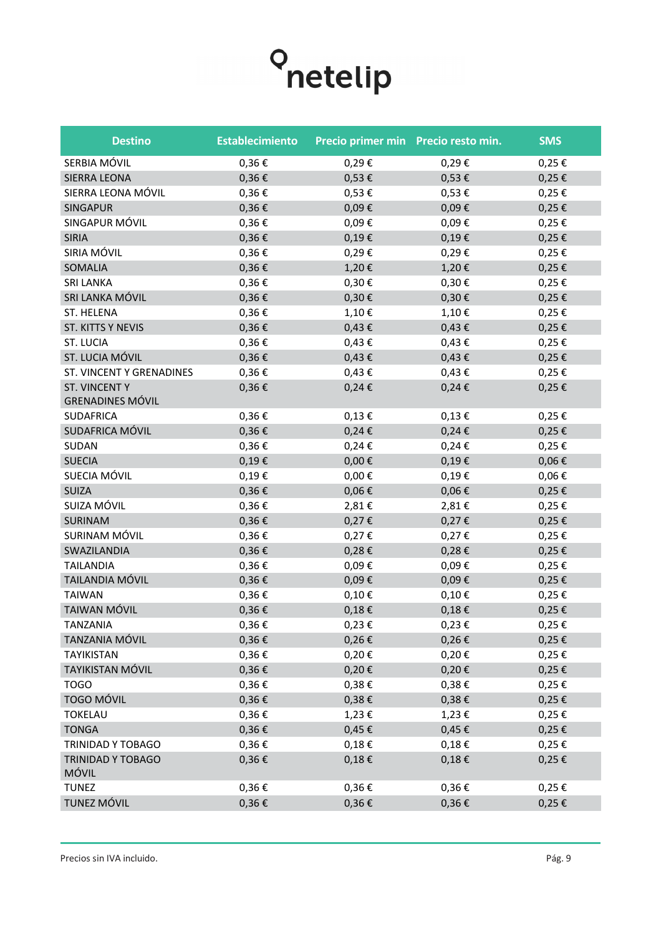| <b>Destino</b>                                 | <b>Establecimiento</b> | Precio primer min Precio resto min. |            | <b>SMS</b> |
|------------------------------------------------|------------------------|-------------------------------------|------------|------------|
| SERBIA MÓVIL                                   | 0,36€                  | 0,29€                               | 0,29€      | 0,25€      |
| SIERRA LEONA                                   | 0,36€                  | 0,53€                               | $0,53 \in$ | $0,25 \in$ |
| SIERRA LEONA MÓVIL                             | 0,36€                  | 0,53€                               | $0,53 \in$ | 0,25€      |
| <b>SINGAPUR</b>                                | 0,36€                  | 0,09€                               | 0,09€      | $0,25 \in$ |
| SINGAPUR MÓVIL                                 | 0,36€                  | 0,09€                               | 0,09€      | 0,25€      |
| <b>SIRIA</b>                                   | 0,36€                  | 0,19€                               | $0,19 \in$ | $0,25 \in$ |
| SIRIA MÓVIL                                    | 0,36€                  | 0,29€                               | 0,29€      | 0,25€      |
| SOMALIA                                        | 0,36€                  | 1,20€                               | 1,20€      | $0,25 \in$ |
| <b>SRI LANKA</b>                               | 0,36€                  | $0,30 \in$                          | 0,30€      | 0,25€      |
| SRI LANKA MÓVIL                                | 0,36€                  | 0,30€                               | 0,30€      | $0,25 \in$ |
| ST. HELENA                                     | 0,36€                  | 1,10€                               | 1,10€      | 0,25€      |
| ST. KITTS Y NEVIS                              | 0,36€                  | $0,43 \in$                          | $0,43 \in$ | $0,25 \in$ |
| <b>ST. LUCIA</b>                               | 0,36€                  | $0,43 \in$                          | $0,43 \in$ | 0,25€      |
| ST. LUCIA MÓVIL                                | 0,36€                  | $0,43 \in$                          | $0,43 \in$ | $0,25 \in$ |
| ST. VINCENT Y GRENADINES                       | 0,36€                  | $0,43 \in$                          | $0,43 \in$ | 0,25€      |
| <b>ST. VINCENTY</b><br><b>GRENADINES MÓVIL</b> | 0,36€                  | $0,24 \in$                          | $0,24 \in$ | 0,25€      |
| <b>SUDAFRICA</b>                               | 0,36€                  | $0,13 \in$                          | $0,13 \in$ | 0,25€      |
| SUDAFRICA MÓVIL                                | 0,36€                  | 0,24€                               | $0,24 \in$ | $0,25 \in$ |
| SUDAN                                          | 0,36€                  | $0,24 \in$                          | $0,24 \in$ | 0,25€      |
| <b>SUECIA</b>                                  | 0,19€                  | $0,00 \in$                          | 0,19€      | $0,06 \in$ |
| SUECIA MÓVIL                                   | 0,19€                  | $0,00 \in$                          | 0,19€      | $0,06 \in$ |
| <b>SUIZA</b>                                   | 0,36€                  | $0,06 \in$                          | $0,06 \in$ | $0,25 \in$ |
| SUIZA MÓVIL                                    | 0,36€                  | 2,81€                               | 2,81€      | 0,25€      |
| SURINAM                                        | 0,36€                  | 0,27€                               | $0,27 \in$ | $0,25 \in$ |
| SURINAM MÓVIL                                  | 0,36€                  | 0,27€                               | 0,27€      | 0,25€      |
| SWAZILANDIA                                    | 0,36€                  | 0,28€                               | $0,28 \in$ | $0,25 \in$ |
| <b>TAILANDIA</b>                               | 0,36€                  | 0,09€                               | 0,09€      | 0,25€      |
| TAILANDIA MÓVIL                                | 0,36€                  | 0,09€                               | 0,09€      | 0,25€      |
| <b>TAIWAN</b>                                  | 0,36€                  | $0,10 \in$                          | $0,10 \in$ | 0,25€      |
| <b>TAIWAN MÓVIL</b>                            | 0,36€                  | $0,18 \in$                          | $0,18 \in$ | $0,25 \in$ |
| <b>TANZANIA</b>                                | 0,36€                  | $0,23 \in$                          | 0,23€      | 0,25€      |
| TANZANIA MÓVIL                                 | 0,36€                  | $0,26 \in$                          | $0,26 \in$ | $0,25 \in$ |
| <b>TAYIKISTAN</b>                              | 0,36€                  | 0,20€                               | $0,20 \in$ | $0,25 \in$ |
| <b>TAYIKISTAN MÓVIL</b>                        | $0,36 \in$             | 0,20€                               | $0,20 \in$ | $0,25 \in$ |
| <b>TOGO</b>                                    | 0,36€                  | 0,38€                               | $0,38 \in$ | $0,25 \in$ |
| TOGO MÓVIL                                     | 0,36€                  | 0,38€                               | $0,38 \in$ | $0,25 \in$ |
| <b>TOKELAU</b>                                 | $0,36 \in$             | 1,23€                               | $1,23 \in$ | $0,25 \in$ |
| <b>TONGA</b>                                   | $0,36 \in$             | $0,45 \in$                          | $0,45 \in$ | $0,25 \in$ |
| TRINIDAD Y TOBAGO                              | 0,36€                  | $0,18 \in$                          | $0,18 \in$ | $0,25 \in$ |
| TRINIDAD Y TOBAGO<br>MÓVIL                     | 0,36€                  | $0,18 \in$                          | $0,18 \in$ | $0,25 \in$ |
| <b>TUNEZ</b>                                   | 0,36€                  | $0,36 \in$                          | $0,36 \in$ | $0,25 \in$ |
| TUNEZ MÓVIL                                    | $0,36 \in$             | $0,36 \in$                          | $0,36 \in$ | $0,25 \in$ |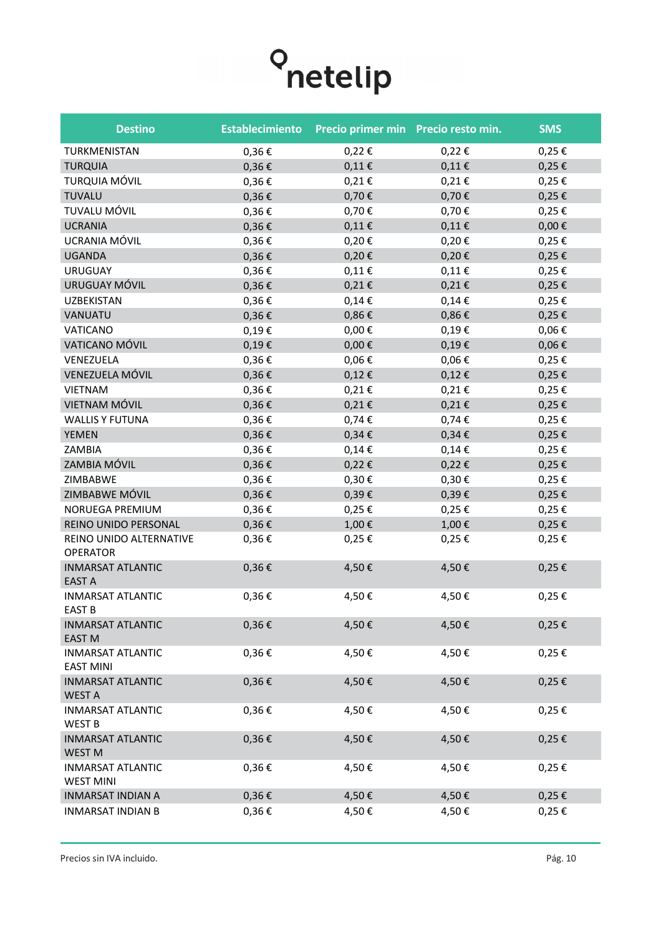

| <b>Destino</b>                               | <b>Establecimiento</b> | Precio primer min Precio resto min. |            | <b>SMS</b> |
|----------------------------------------------|------------------------|-------------------------------------|------------|------------|
| TURKMENISTAN                                 | 0,36€                  | 0,22€                               | 0,22€      | $0,25 \in$ |
| <b>TURQUIA</b>                               | $0,36 \in$             | $0,11 \in$                          | $0,11 \in$ | $0,25 \in$ |
| <b>TURQUIA MÓVIL</b>                         | 0,36€                  | $0,21 \in$                          | $0,21 \in$ | $0,25 \in$ |
| <b>TUVALU</b>                                | $0,36 \in$             | 0,70€                               | 0,70€      | $0,25 \in$ |
| TUVALU MÓVIL                                 | 0,36€                  | 0,70€                               | 0,70€      | 0,25€      |
| <b>UCRANIA</b>                               | $0,36 \in$             | $0,11 \in$                          | $0,11 \in$ | $0,00 \in$ |
| UCRANIA MÓVIL                                | 0,36€                  | 0,20€                               | 0,20€      | 0,25€      |
| <b>UGANDA</b>                                | $0,36 \in$             | 0,20€                               | 0,20€      | $0,25 \in$ |
| <b>URUGUAY</b>                               | 0,36€                  | $0,11 \in$                          | $0,11 \in$ | 0,25€      |
| URUGUAY MÓVIL                                | $0,36 \in$             | 0,21€                               | $0,21 \in$ | $0,25 \in$ |
| <b>UZBEKISTAN</b>                            | 0,36€                  | $0,14 \in$                          | $0,14 \in$ | 0,25€      |
| VANUATU                                      | $0,36 \in$             | 0,86€                               | $0,86 \in$ | $0,25 \in$ |
| VATICANO                                     | 0,19€                  | $0,00 \in$                          | 0,19€      | $0,06 \in$ |
| VATICANO MÓVIL                               | 0,19€                  | $0,00 \in$                          | $0,19 \in$ | $0,06 \in$ |
| VENEZUELA                                    | 0,36€                  | $0,06 \in$                          | $0,06 \in$ | $0,25 \in$ |
| VENEZUELA MÓVIL                              | $0,36 \in$             | 0,12€                               | $0,12 \in$ | $0,25 \in$ |
| <b>VIETNAM</b>                               | $0,36 \in$             | $0,21 \in$                          | $0,21 \in$ | $0,25 \in$ |
| VIETNAM MÓVIL                                | $0,36 \in$             | 0,21€                               | $0,21 \in$ | $0,25 \in$ |
| <b>WALLIS Y FUTUNA</b>                       | 0,36€                  | $0,74 \in$                          | 0,74€      | $0,25 \in$ |
| <b>YEMEN</b>                                 | $0,36 \in$             | $0,34 \in$                          | $0,34 \in$ | $0,25 \in$ |
| ZAMBIA                                       | 0,36€                  | $0,14 \in$                          | $0,14 \in$ | $0,25 \in$ |
| ZAMBIA MÓVIL                                 | $0,36 \in$             | $0,22 \in$                          | $0,22 \in$ | $0,25 \in$ |
| ZIMBABWE                                     | 0,36€                  | 0,30€                               | 0,30€      | $0,25 \in$ |
| ZIMBABWE MÓVIL                               | $0,36 \in$             | 0,39€                               | 0,39€      | $0,25 \in$ |
| NORUEGA PREMIUM                              | 0,36€                  | $0,25 \in$                          | 0,25€      | $0,25 \in$ |
| REINO UNIDO PERSONAL                         | $0,36 \in$             | 1,00€                               | 1,00€      | $0,25 \in$ |
| REINO UNIDO ALTERNATIVE<br><b>OPERATOR</b>   | 0,36€                  | 0,25€                               | 0,25€      | 0,25€      |
| <b>INMARSAT ATLANTIC</b><br><b>EAST A</b>    | $0,36 \in$             | 4,50€                               | 4,50€      | $0,25 \in$ |
| <b>INMARSAT ATLANTIC</b><br>EAST B           | $0,36 \in$             | 4,50€                               | 4,50€      | $0,25 \in$ |
| <b>INMARSAT ATLANTIC</b><br><b>EAST M</b>    | $0,36 \in$             | 4,50€                               | 4,50€      | $0,25 \in$ |
| <b>INMARSAT ATLANTIC</b><br><b>EAST MINI</b> | 0,36€                  | 4,50€                               | 4,50€      | 0,25€      |
| <b>INMARSAT ATLANTIC</b><br><b>WEST A</b>    | $0,36 \in$             | 4,50€                               | 4,50€      | $0,25 \in$ |
| <b>INMARSAT ATLANTIC</b><br><b>WEST B</b>    | 0,36€                  | 4,50€                               | 4,50€      | 0,25€      |
| <b>INMARSAT ATLANTIC</b><br><b>WEST M</b>    | $0,36 \in$             | 4,50€                               | 4,50€      | $0,25 \in$ |
| <b>INMARSAT ATLANTIC</b><br><b>WEST MINI</b> | 0,36€                  | 4,50€                               | 4,50€      | 0,25€      |
| <b>INMARSAT INDIAN A</b>                     | $0,36 \in$             | 4,50€                               | 4,50€      | $0,25 \in$ |
| <b>INMARSAT INDIAN B</b>                     | $0,36 \in$             | 4,50€                               | 4,50€      | 0,25€      |